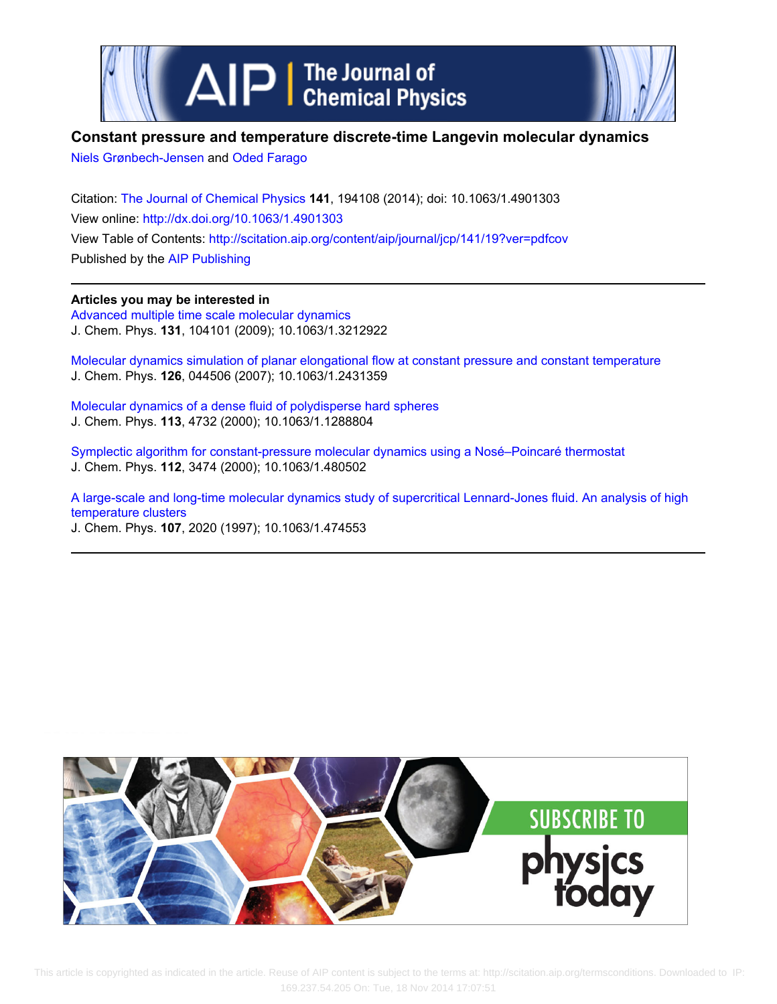

## **Constant pressure and temperature discrete-time Langevin molecular dynamics**

[Niels Grønbech-Jensen](http://scitation.aip.org/search?value1=Niels+Gr�nbech-Jensen&option1=author) and [Oded Farago](http://scitation.aip.org/search?value1=Oded+Farago&option1=author)

Citation: [The Journal of Chemical Physics](http://scitation.aip.org/content/aip/journal/jcp?ver=pdfcov) **141**, 194108 (2014); doi: 10.1063/1.4901303 View online: <http://dx.doi.org/10.1063/1.4901303> View Table of Contents: <http://scitation.aip.org/content/aip/journal/jcp/141/19?ver=pdfcov> Published by the [AIP Publishing](http://scitation.aip.org/content/aip?ver=pdfcov)

**Articles you may be interested in**

[Advanced multiple time scale molecular dynamics](http://scitation.aip.org/content/aip/journal/jcp/131/10/10.1063/1.3212922?ver=pdfcov) J. Chem. Phys. **131**, 104101 (2009); 10.1063/1.3212922

[Molecular dynamics simulation of planar elongational flow at constant pressure and constant temperature](http://scitation.aip.org/content/aip/journal/jcp/126/4/10.1063/1.2431359?ver=pdfcov) J. Chem. Phys. **126**, 044506 (2007); 10.1063/1.2431359

[Molecular dynamics of a dense fluid of polydisperse hard spheres](http://scitation.aip.org/content/aip/journal/jcp/113/11/10.1063/1.1288804?ver=pdfcov) J. Chem. Phys. **113**, 4732 (2000); 10.1063/1.1288804

[Symplectic algorithm for constant-pressure molecular dynamics using a Nosé–Poincaré thermostat](http://scitation.aip.org/content/aip/journal/jcp/112/8/10.1063/1.480502?ver=pdfcov) J. Chem. Phys. **112**, 3474 (2000); 10.1063/1.480502

[A large-scale and long-time molecular dynamics study of supercritical Lennard-Jones fluid. An analysis of high](http://scitation.aip.org/content/aip/journal/jcp/107/6/10.1063/1.474553?ver=pdfcov) [temperature clusters](http://scitation.aip.org/content/aip/journal/jcp/107/6/10.1063/1.474553?ver=pdfcov)

J. Chem. Phys. **107**, 2020 (1997); 10.1063/1.474553

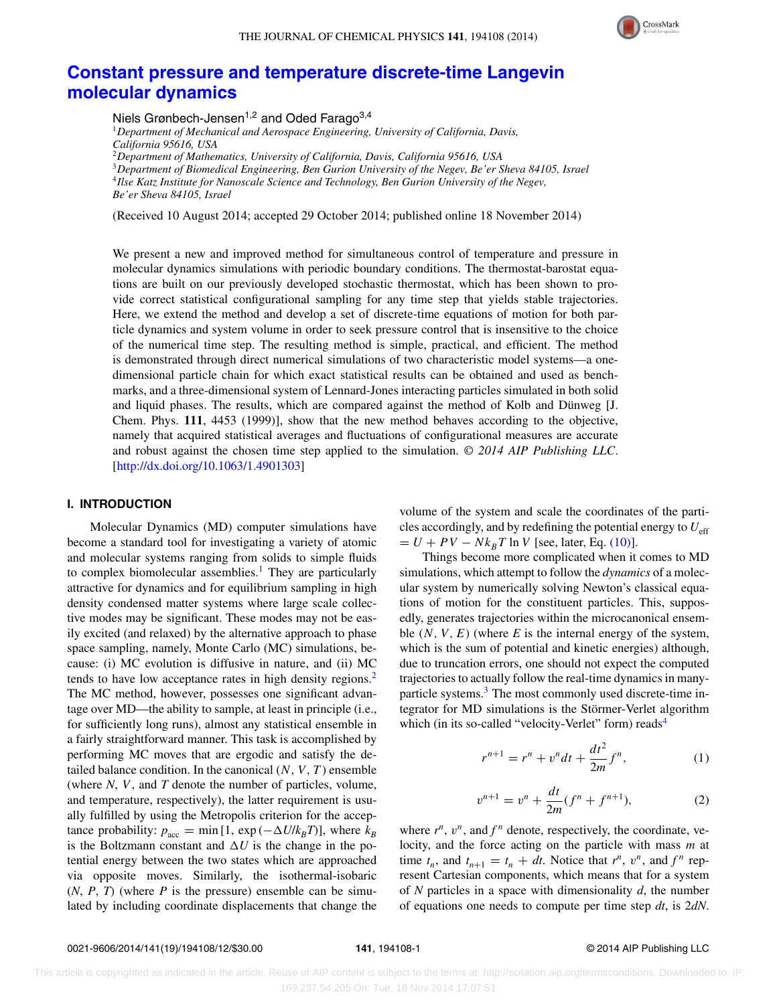

# **[Constant pressure and temperature discrete-time Langevin](http://dx.doi.org/10.1063/1.4901303) [molecular dynamics](http://dx.doi.org/10.1063/1.4901303)**

Niels Grønbech-Jensen<sup>1,2</sup> and Oded Farago<sup>3,4</sup>

<sup>1</sup>*Department of Mechanical and Aerospace Engineering, University of California, Davis, California 95616, USA*

<sup>2</sup>*Department of Mathematics, University of California, Davis, California 95616, USA*

<sup>3</sup>*Department of Biomedical Engineering, Ben Gurion University of the Negev, Be'er Sheva 84105, Israel*

<sup>4</sup>*Ilse Katz Institute for Nanoscale Science and Technology, Ben Gurion University of the Negev,*

*Be'er Sheva 84105, Israel*

(Received 10 August 2014; accepted 29 October 2014; published online 18 November 2014)

We present a new and improved method for simultaneous control of temperature and pressure in molecular dynamics simulations with periodic boundary conditions. The thermostat-barostat equations are built on our previously developed stochastic thermostat, which has been shown to provide correct statistical configurational sampling for any time step that yields stable trajectories. Here, we extend the method and develop a set of discrete-time equations of motion for both particle dynamics and system volume in order to seek pressure control that is insensitive to the choice of the numerical time step. The resulting method is simple, practical, and efficient. The method is demonstrated through direct numerical simulations of two characteristic model systems—a onedimensional particle chain for which exact statistical results can be obtained and used as benchmarks, and a three-dimensional system of Lennard-Jones interacting particles simulated in both solid and liquid phases. The results, which are compared against the method of Kolb and Dünweg [J. Chem. Phys. **111**, 4453 (1999)], show that the new method behaves according to the objective, namely that acquired statistical averages and fluctuations of configurational measures are accurate and robust against the chosen time step applied to the simulation. *© 2014 AIP Publishing LLC*. [\[http://dx.doi.org/10.1063/1.4901303\]](http://dx.doi.org/10.1063/1.4901303)

## **I. INTRODUCTION**

Molecular Dynamics (MD) computer simulations have become a standard tool for investigating a variety of atomic and molecular systems ranging from solids to simple fluids to complex biomolecular assemblies.<sup>1</sup> They are particularly attractive for dynamics and for equilibrium sampling in high density condensed matter systems where large scale collective modes may be significant. These modes may not be easily excited (and relaxed) by the alternative approach to phase space sampling, namely, Monte Carlo (MC) simulations, because: (i) MC evolution is diffusive in nature, and (ii) MC tends to have low acceptance rates in high density regions.<sup>2</sup> The MC method, however, possesses one significant advantage over MD—the ability to sample, at least in principle (i.e., for sufficiently long runs), almost any statistical ensemble in a fairly straightforward manner. This task is accomplished by performing MC moves that are ergodic and satisfy the detailed balance condition. In the canonical  $(N, V, T)$  ensemble (where *N*, *V* , and *T* denote the number of particles, volume, and temperature, respectively), the latter requirement is usually fulfilled by using the Metropolis criterion for the acceptance probability:  $p_{\text{acc}} = \min[1, \exp(-\Delta U / k_B T)]$ , where  $k_B$ is the Boltzmann constant and  $\Delta U$  is the change in the potential energy between the two states which are approached via opposite moves. Similarly, the isothermal-isobaric  $(N, P, T)$  (where  $P$  is the pressure) ensemble can be simulated by including coordinate displacements that change the volume of the system and scale the coordinates of the particles accordingly, and by redefining the potential energy to  $U_{\text{eff}}$  $= U + PV - Nk_B T \ln V$  [see, later, Eq. (10)].

Things become more complicated when it comes to MD simulations, which attempt to follow the *dynamics* of a molecular system by numerically solving Newton's classical equations of motion for the constituent particles. This, supposedly, generates trajectories within the microcanonical ensemble  $(N, V, E)$  (where  $E$  is the internal energy of the system, which is the sum of potential and kinetic energies) although, due to truncation errors, one should not expect the computed trajectories to actually follow the real-time dynamics in manyparticle systems.<sup>3</sup> The most commonly used discrete-time integrator for MD simulations is the Störmer-Verlet algorithm which (in its so-called "velocity-Verlet" form) reads<sup>4</sup>

$$
r^{n+1} = r^n + v^n dt + \frac{dt^2}{2m} f^n,
$$
 (1)

$$
v^{n+1} = v^n + \frac{dt}{2m}(f^n + f^{n+1}),
$$
 (2)

where  $r^n$ ,  $v^n$ , and  $f^n$  denote, respectively, the coordinate, velocity, and the force acting on the particle with mass *m* at time  $t_n$ , and  $t_{n+1} = t_n + dt$ . Notice that  $r^n$ ,  $v^n$ , and  $f^n$  represent Cartesian components, which means that for a system of *N* particles in a space with dimensionality *d*, the number of equations one needs to compute per time step *dt*, is 2*dN*.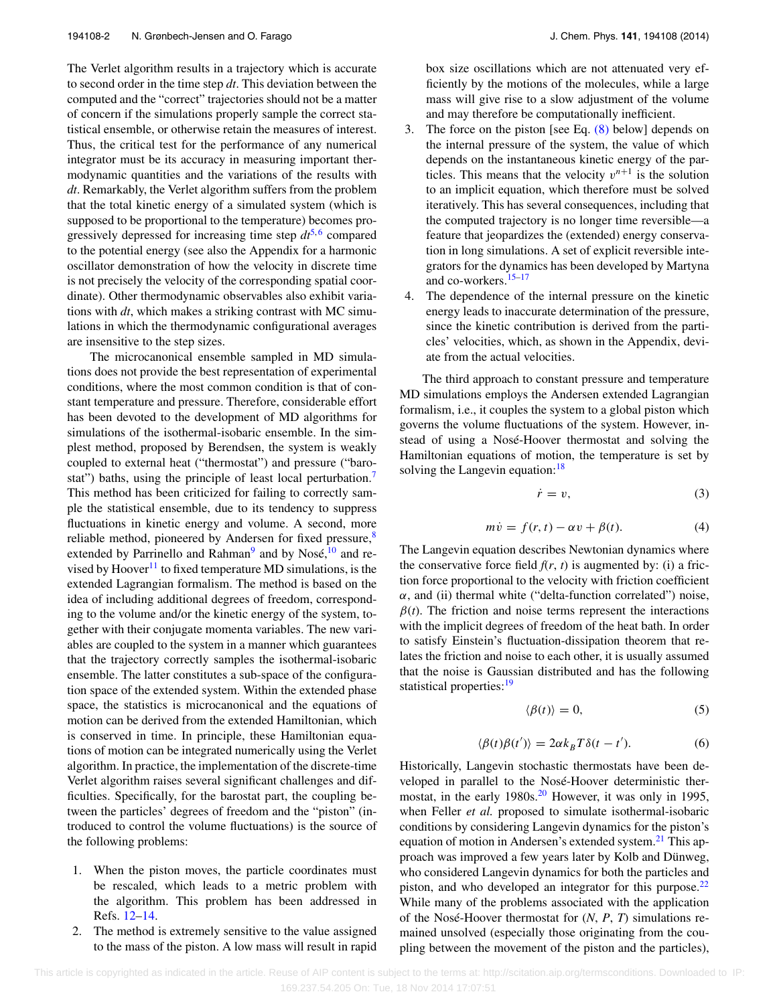The Verlet algorithm results in a trajectory which is accurate to second order in the time step *dt*. This deviation between the computed and the "correct" trajectories should not be a matter of concern if the simulations properly sample the correct statistical ensemble, or otherwise retain the measures of interest. Thus, the critical test for the performance of any numerical integrator must be its accuracy in measuring important thermodynamic quantities and the variations of the results with *dt*. Remarkably, the Verlet algorithm suffers from the problem that the total kinetic energy of a simulated system (which is supposed to be proportional to the temperature) becomes progressively depressed for increasing time step  $d_1^{5,6}$  compared to the potential energy (see also the Appendix for a harmonic oscillator demonstration of how the velocity in discrete time is not precisely the velocity of the corresponding spatial coordinate). Other thermodynamic observables also exhibit variations with *dt*, which makes a striking contrast with MC simulations in which the thermodynamic configurational averages are insensitive to the step sizes.

The microcanonical ensemble sampled in MD simulations does not provide the best representation of experimental conditions, where the most common condition is that of constant temperature and pressure. Therefore, considerable effort has been devoted to the development of MD algorithms for simulations of the isothermal-isobaric ensemble. In the simplest method, proposed by Berendsen, the system is weakly coupled to external heat ("thermostat") and pressure ("barostat") baths, using the principle of least local perturbation. This method has been criticized for failing to correctly sample the statistical ensemble, due to its tendency to suppress fluctuations in kinetic energy and volume. A second, more reliable method, pioneered by Andersen for fixed pressure,<sup>8</sup> extended by Parrinello and Rahman $9$  and by Nosé,  $10$  and revised by Hoover<sup>11</sup> to fixed temperature MD simulations, is the extended Lagrangian formalism. The method is based on the idea of including additional degrees of freedom, corresponding to the volume and/or the kinetic energy of the system, together with their conjugate momenta variables. The new variables are coupled to the system in a manner which guarantees that the trajectory correctly samples the isothermal-isobaric ensemble. The latter constitutes a sub-space of the configuration space of the extended system. Within the extended phase space, the statistics is microcanonical and the equations of motion can be derived from the extended Hamiltonian, which is conserved in time. In principle, these Hamiltonian equations of motion can be integrated numerically using the Verlet algorithm. In practice, the implementation of the discrete-time Verlet algorithm raises several significant challenges and difficulties. Specifically, for the barostat part, the coupling between the particles' degrees of freedom and the "piston" (introduced to control the volume fluctuations) is the source of the following problems:

- 1. When the piston moves, the particle coordinates must be rescaled, which leads to a metric problem with the algorithm. This problem has been addressed in Refs. 12–14.
- 2. The method is extremely sensitive to the value assigned to the mass of the piston. A low mass will result in rapid

box size oscillations which are not attenuated very efficiently by the motions of the molecules, while a large mass will give rise to a slow adjustment of the volume and may therefore be computationally inefficient.

- 3. The force on the piston [see Eq.  $(8)$  below] depends on the internal pressure of the system, the value of which depends on the instantaneous kinetic energy of the particles. This means that the velocity  $v^{n+1}$  is the solution to an implicit equation, which therefore must be solved iteratively. This has several consequences, including that the computed trajectory is no longer time reversible—a feature that jeopardizes the (extended) energy conservation in long simulations. A set of explicit reversible integrators for the dynamics has been developed by Martyna and co-workers.15–17
- 4. The dependence of the internal pressure on the kinetic energy leads to inaccurate determination of the pressure, since the kinetic contribution is derived from the particles' velocities, which, as shown in the Appendix, deviate from the actual velocities.

The third approach to constant pressure and temperature MD simulations employs the Andersen extended Lagrangian formalism, i.e., it couples the system to a global piston which governs the volume fluctuations of the system. However, instead of using a Nosé-Hoover thermostat and solving the Hamiltonian equations of motion, the temperature is set by solving the Langevin equation: $18$ 

$$
\dot{r} = v,\tag{3}
$$

$$
m\dot{v} = f(r, t) - \alpha v + \beta(t). \tag{4}
$$

The Langevin equation describes Newtonian dynamics where the conservative force field  $f(r, t)$  is augmented by: (i) a friction force proportional to the velocity with friction coefficient  $\alpha$ , and (ii) thermal white ("delta-function correlated") noise,  $\beta(t)$ . The friction and noise terms represent the interactions with the implicit degrees of freedom of the heat bath. In order to satisfy Einstein's fluctuation-dissipation theorem that relates the friction and noise to each other, it is usually assumed that the noise is Gaussian distributed and has the following statistical properties:<sup>19</sup>

$$
\langle \beta(t) \rangle = 0,\tag{5}
$$

$$
\langle \beta(t)\beta(t')\rangle = 2\alpha k_B T \delta(t - t'). \tag{6}
$$

Historically, Langevin stochastic thermostats have been developed in parallel to the Nosé-Hoover deterministic thermostat, in the early  $1980s<sup>20</sup>$  However, it was only in 1995, when Feller *et al.* proposed to simulate isothermal-isobaric conditions by considering Langevin dynamics for the piston's equation of motion in Andersen's extended system.<sup>21</sup> This approach was improved a few years later by Kolb and Dünweg, who considered Langevin dynamics for both the particles and piston, and who developed an integrator for this purpose. $^{22}$ While many of the problems associated with the application of the Nosé-Hoover thermostat for (*N*, *P*, *T*) simulations remained unsolved (especially those originating from the coupling between the movement of the piston and the particles),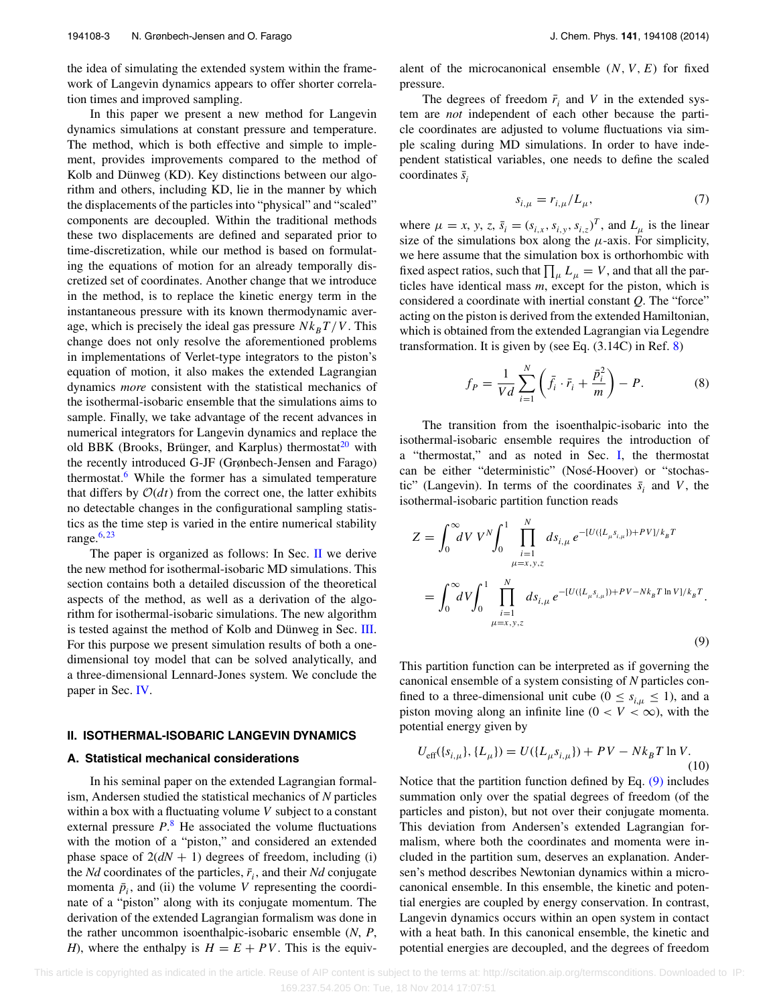the idea of simulating the extended system within the framework of Langevin dynamics appears to offer shorter correlation times and improved sampling.

In this paper we present a new method for Langevin dynamics simulations at constant pressure and temperature. The method, which is both effective and simple to implement, provides improvements compared to the method of Kolb and Dünweg (KD). Key distinctions between our algorithm and others, including KD, lie in the manner by which the displacements of the particles into "physical" and "scaled" components are decoupled. Within the traditional methods these two displacements are defined and separated prior to time-discretization, while our method is based on formulating the equations of motion for an already temporally discretized set of coordinates. Another change that we introduce in the method, is to replace the kinetic energy term in the instantaneous pressure with its known thermodynamic average, which is precisely the ideal gas pressure  $Nk_BT/V$ . This change does not only resolve the aforementioned problems in implementations of Verlet-type integrators to the piston's equation of motion, it also makes the extended Lagrangian dynamics *more* consistent with the statistical mechanics of the isothermal-isobaric ensemble that the simulations aims to sample. Finally, we take advantage of the recent advances in numerical integrators for Langevin dynamics and replace the old BBK (Brooks, Brünger, and Karplus) thermostat<sup>20</sup> with the recently introduced G-JF (Grønbech-Jensen and Farago) thermostat.<sup>6</sup> While the former has a simulated temperature that differs by  $O(dt)$  from the correct one, the latter exhibits no detectable changes in the configurational sampling statistics as the time step is varied in the entire numerical stability range. $6, 23$ 

The paper is organized as follows: In Sec. II we derive the new method for isothermal-isobaric MD simulations. This section contains both a detailed discussion of the theoretical aspects of the method, as well as a derivation of the algorithm for isothermal-isobaric simulations. The new algorithm is tested against the method of Kolb and Dünweg in Sec. III. For this purpose we present simulation results of both a onedimensional toy model that can be solved analytically, and a three-dimensional Lennard-Jones system. We conclude the paper in Sec. IV.

## **II. ISOTHERMAL-ISOBARIC LANGEVIN DYNAMICS**

## **A. Statistical mechanical considerations**

In his seminal paper on the extended Lagrangian formalism, Andersen studied the statistical mechanics of *N* particles within a box with a fluctuating volume *V* subject to a constant external pressure  $P^8$ . He associated the volume fluctuations with the motion of a "piston," and considered an extended phase space of  $2(dN + 1)$  degrees of freedom, including (i) the *Nd* coordinates of the particles,  $\bar{r}$ , and their *Nd* conjugate momenta  $\bar{p}_i$ , and (ii) the volume *V* representing the coordinate of a "piston" along with its conjugate momentum. The derivation of the extended Lagrangian formalism was done in the rather uncommon isoenthalpic-isobaric ensemble (*N*, *P*, *H*), where the enthalpy is  $H = E + PV$ . This is the equivalent of the microcanonical ensemble  $(N, V, E)$  for fixed pressure.

The degrees of freedom  $\bar{r}$ <sub>*i*</sub> and *V* in the extended system are *not* independent of each other because the particle coordinates are adjusted to volume fluctuations via simple scaling during MD simulations. In order to have independent statistical variables, one needs to define the scaled coordinates  $\bar{s}$ <sub>i</sub>

$$
s_{i,\mu} = r_{i,\mu}/L_{\mu},\tag{7}
$$

where  $\mu = x$ ,  $y$ ,  $z$ ,  $\bar{s}_i = (s_{i,x}, s_{i,y}, s_{i,z})^T$ , and  $L_\mu$  is the linear size of the simulations box along the  $\mu$ -axis. For simplicity, we here assume that the simulation box is orthorhombic with fixed aspect ratios, such that  $\prod_{\mu} L_{\mu} = V$ , and that all the particles have identical mass *m*, except for the piston, which is considered a coordinate with inertial constant *Q*. The "force" acting on the piston is derived from the extended Hamiltonian, which is obtained from the extended Lagrangian via Legendre transformation. It is given by (see Eq. (3.14C) in Ref. 8)

$$
f_P = \frac{1}{Vd} \sum_{i=1}^{N} \left( \bar{f}_i \cdot \bar{r}_i + \frac{\bar{p}_i^2}{m} \right) - P. \tag{8}
$$

The transition from the isoenthalpic-isobaric into the isothermal-isobaric ensemble requires the introduction of a "thermostat," and as noted in Sec. I, the thermostat can be either "deterministic" (Nosé-Hoover) or "stochastic" (Langevin). In terms of the coordinates  $\bar{s}$ <sub>*i*</sub> and *V*, the isothermal-isobaric partition function reads

$$
Z = \int_0^\infty dV \, V^N \! \int_0^1 \prod_{\substack{i=1 \ \mu=x,y,z}}^N ds_{i,\mu} \, e^{-[U((L_\mu s_{i,\mu}))+PV]/k_B T}
$$
\n
$$
= \int_0^\infty dV \! \int_0^1 \prod_{\substack{i=1 \ \mu=x,y,z}}^N ds_{i,\mu} \, e^{-[U((L_\mu s_{i,\mu}))+PV-Nk_B T \ln V]/k_B T}.
$$
\n(9)

This partition function can be interpreted as if governing the canonical ensemble of a system consisting of *N* particles confined to a three-dimensional unit cube ( $0 \le s_{i,\mu} \le 1$ ), and a piston moving along an infinite line  $(0 < V < \infty)$ , with the potential energy given by

$$
U_{\text{eff}}(\{s_{i,\mu}\}, \{L_{\mu}\}) = U(\{L_{\mu}s_{i,\mu}\}) + PV - Nk_B T \ln V. \tag{10}
$$

Notice that the partition function defined by Eq. (9) includes summation only over the spatial degrees of freedom (of the particles and piston), but not over their conjugate momenta. This deviation from Andersen's extended Lagrangian formalism, where both the coordinates and momenta were included in the partition sum, deserves an explanation. Andersen's method describes Newtonian dynamics within a microcanonical ensemble. In this ensemble, the kinetic and potential energies are coupled by energy conservation. In contrast, Langevin dynamics occurs within an open system in contact with a heat bath. In this canonical ensemble, the kinetic and potential energies are decoupled, and the degrees of freedom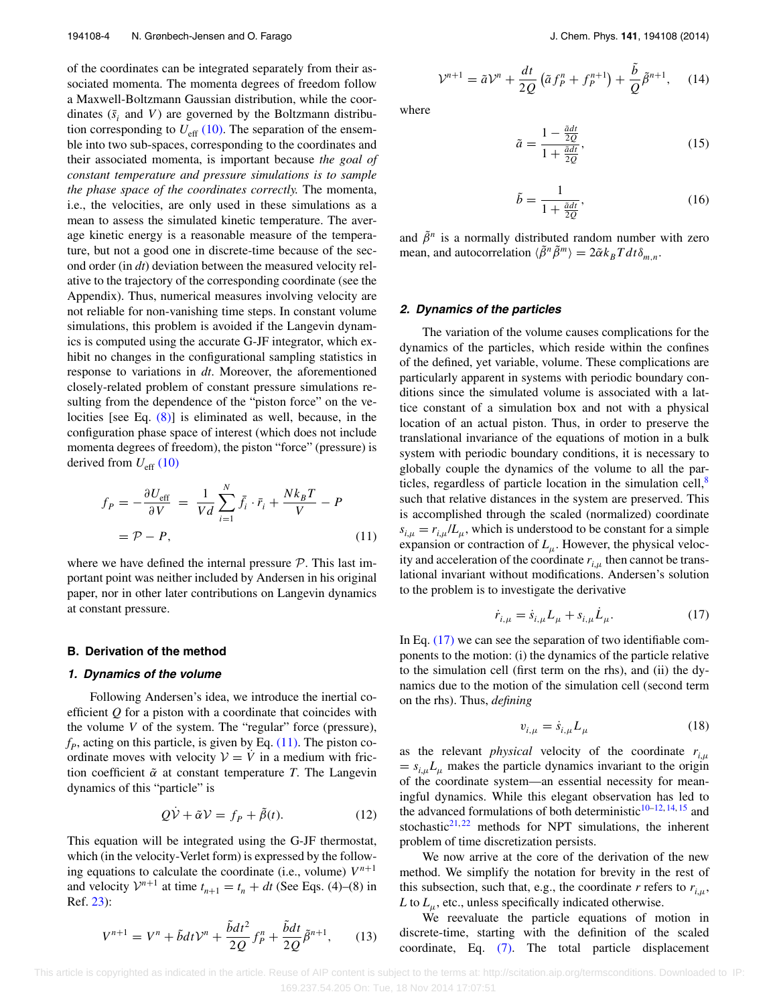of the coordinates can be integrated separately from their associated momenta. The momenta degrees of freedom follow a Maxwell-Boltzmann Gaussian distribution, while the coordinates  $(\bar{s}_i$  and *V*) are governed by the Boltzmann distribution corresponding to  $U_{\text{eff}}(10)$ . The separation of the ensemble into two sub-spaces, corresponding to the coordinates and their associated momenta, is important because *the goal of constant temperature and pressure simulations is to sample the phase space of the coordinates correctly.* The momenta, i.e., the velocities, are only used in these simulations as a mean to assess the simulated kinetic temperature. The average kinetic energy is a reasonable measure of the temperature, but not a good one in discrete-time because of the second order (in *dt*) deviation between the measured velocity relative to the trajectory of the corresponding coordinate (see the Appendix). Thus, numerical measures involving velocity are not reliable for non-vanishing time steps. In constant volume simulations, this problem is avoided if the Langevin dynamics is computed using the accurate G-JF integrator, which exhibit no changes in the configurational sampling statistics in response to variations in *dt*. Moreover, the aforementioned closely-related problem of constant pressure simulations resulting from the dependence of the "piston force" on the velocities [see Eq. (8)] is eliminated as well, because, in the configuration phase space of interest (which does not include momenta degrees of freedom), the piston "force" (pressure) is derived from  $U_{\text{eff}}(10)$ 

$$
f_P = -\frac{\partial U_{\text{eff}}}{\partial V} = \frac{1}{Vd} \sum_{i=1}^{N} \bar{f}_i \cdot \bar{r}_i + \frac{N k_B T}{V} - P
$$

$$
= \mathcal{P} - P,
$$
(11)

where we have defined the internal pressure  $P$ . This last important point was neither included by Andersen in his original paper, nor in other later contributions on Langevin dynamics at constant pressure.

#### **B. Derivation of the method**

#### **1. Dynamics of the volume**

Following Andersen's idea, we introduce the inertial coefficient *Q* for a piston with a coordinate that coincides with the volume *V* of the system. The "regular" force (pressure),  $f<sub>P</sub>$ , acting on this particle, is given by Eq. (11). The piston coordinate moves with velocity  $V = V$  in a medium with friction coefficient ˜*α* at constant temperature *T*. The Langevin dynamics of this "particle" is

$$
Q\dot{\mathcal{V}} + \tilde{\alpha}\mathcal{V} = f_P + \tilde{\beta}(t). \tag{12}
$$

This equation will be integrated using the G-JF thermostat, which (in the velocity-Verlet form) is expressed by the following equations to calculate the coordinate (i.e., volume)  $V^{n+1}$ and velocity  $V^{n+1}$  at time  $t_{n+1} = t_n + dt$  (See Eqs. (4)–(8) in Ref. 23):

$$
V^{n+1} = V^n + \tilde{b}dt\mathcal{V}^n + \frac{\tilde{b}dt^2}{2Q}f_P^n + \frac{\tilde{b}dt}{2Q}\tilde{\beta}^{n+1},\qquad(13)
$$

$$
\mathcal{V}^{n+1} = \tilde{a}\mathcal{V}^n + \frac{dt}{2Q} \left( \tilde{a} f_P^n + f_P^{n+1} \right) + \frac{\tilde{b}}{Q} \tilde{\beta}^{n+1}, \quad (14)
$$

where

$$
\tilde{a} = \frac{1 - \frac{\tilde{a}dt}{2Q}}{1 + \frac{\tilde{a}dt}{2Q}},\tag{15}
$$

$$
\tilde{b} = \frac{1}{1 + \frac{\tilde{a}dt}{2Q}},\tag{16}
$$

and  $\tilde{\beta}^n$  is a normally distributed random number with zero mean, and autocorrelation  $\langle \tilde{\beta}^n \tilde{\beta}^m \rangle = 2 \tilde{\alpha} k_B T dt \delta_{m,n}$ .

#### **2. Dynamics of the particles**

The variation of the volume causes complications for the dynamics of the particles, which reside within the confines of the defined, yet variable, volume. These complications are particularly apparent in systems with periodic boundary conditions since the simulated volume is associated with a lattice constant of a simulation box and not with a physical location of an actual piston. Thus, in order to preserve the translational invariance of the equations of motion in a bulk system with periodic boundary conditions, it is necessary to globally couple the dynamics of the volume to all the particles, regardless of particle location in the simulation cell,<sup>8</sup> such that relative distances in the system are preserved. This is accomplished through the scaled (normalized) coordinate  $s_{i,\mu} = r_{i,\mu}/L_{\mu}$ , which is understood to be constant for a simple expansion or contraction of  $L$ <sup>*μ*</sup>. However, the physical velocity and acceleration of the coordinate  $r_{i,\mu}$  then cannot be translational invariant without modifications. Andersen's solution to the problem is to investigate the derivative

$$
\dot{r}_{i,\mu} = \dot{s}_{i,\mu} L_{\mu} + s_{i,\mu} \dot{L}_{\mu}.
$$
 (17)

In Eq.  $(17)$  we can see the separation of two identifiable components to the motion: (i) the dynamics of the particle relative to the simulation cell (first term on the rhs), and (ii) the dynamics due to the motion of the simulation cell (second term on the rhs). Thus, *defining*

$$
v_{i,\mu} = \dot{s}_{i,\mu} L_{\mu} \tag{18}
$$

as the relevant *physical* velocity of the coordinate  $r_{i,\mu}$  $= s_{i,\mu}L_{\mu}$  makes the particle dynamics invariant to the origin of the coordinate system—an essential necessity for meaningful dynamics. While this elegant observation has led to the advanced formulations of both deterministic $10-12, 14, 15$  and stochastic $2^{1,22}$  methods for NPT simulations, the inherent problem of time discretization persists.

We now arrive at the core of the derivation of the new method. We simplify the notation for brevity in the rest of this subsection, such that, e.g., the coordinate *r* refers to  $r_{i, u}$ , *L* to  $L_{\mu}$ , etc., unless specifically indicated otherwise.

We reevaluate the particle equations of motion in discrete-time, starting with the definition of the scaled coordinate, Eq. (7). The total particle displacement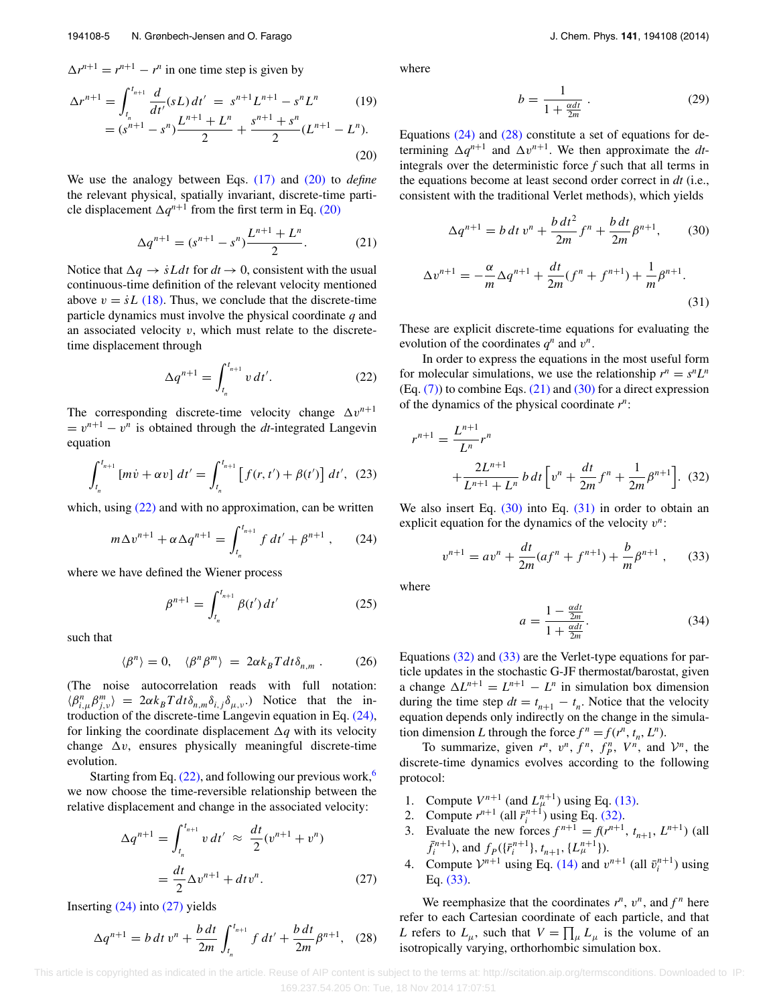$\Delta r^{n+1} = r^{n+1} - r^n$  in one time step is given by

$$
\Delta r^{n+1} = \int_{t_n}^{t_{n+1}} \frac{d}{dt'} (sL) dt' = s^{n+1} L^{n+1} - s^n L^n \qquad (19)
$$
  
=  $(s^{n+1} - s^n) \frac{L^{n+1} + L^n}{2} + \frac{s^{n+1} + s^n}{2} (L^{n+1} - L^n).$  (20)

We use the analogy between Eqs. (17) and (20) to *define* the relevant physical, spatially invariant, discrete-time particle displacement  $\Delta q^{n+1}$  from the first term in Eq. (20)

$$
\Delta q^{n+1} = (s^{n+1} - s^n) \frac{L^{n+1} + L^n}{2}.
$$
 (21)

Notice that  $\Delta q \rightarrow \dot{s} L dt$  for  $dt \rightarrow 0$ , consistent with the usual continuous-time definition of the relevant velocity mentioned above  $v = \dot{s}L$  (18). Thus, we conclude that the discrete-time particle dynamics must involve the physical coordinate *q* and an associated velocity *v*, which must relate to the discretetime displacement through

$$
\Delta q^{n+1} = \int_{t_n}^{t_{n+1}} v \, dt'.
$$
 (22)

The corresponding discrete-time velocity change  $\Delta v^{n+1}$  $= v^{n+1} - v^n$  is obtained through the *dt*-integrated Langevin equation

$$
\int_{t_n}^{t_{n+1}} \left[ m\dot{v} + \alpha v \right] dt' = \int_{t_n}^{t_{n+1}} \left[ f(r, t') + \beta(t') \right] dt', \tag{23}
$$

which, using  $(22)$  and with no approximation, can be written

$$
m\Delta v^{n+1} + \alpha \Delta q^{n+1} = \int_{t_n}^{t_{n+1}} f \, dt' + \beta^{n+1} \,, \qquad (24)
$$

where we have defined the Wiener process

$$
\beta^{n+1} = \int_{t_n}^{t_{n+1}} \beta(t') dt' \tag{25}
$$

such that

$$
\langle \beta^n \rangle = 0, \quad \langle \beta^n \beta^m \rangle = 2\alpha k_B T dt \delta_{n,m} . \tag{26}
$$

(The noise autocorrelation reads with full notation:  $\langle \beta_{i,\mu}^n \beta_{j,\nu}^m \rangle = 2\alpha k_B T dt \delta_{n,m} \delta_{i,j} \delta_{\mu,\nu}$ . Notice that the introduction of the discrete-time Langevin equation in Eq.  $(24)$ , for linking the coordinate displacement  $\Delta q$  with its velocity change  $\Delta v$ , ensures physically meaningful discrete-time evolution.

Starting from Eq.  $(22)$ , and following our previous work,<sup>6</sup> we now choose the time-reversible relationship between the relative displacement and change in the associated velocity:

$$
\Delta q^{n+1} = \int_{t_n}^{t_{n+1}} v \, dt' \approx \frac{dt}{2} (v^{n+1} + v^n)
$$

$$
= \frac{dt}{2} \Delta v^{n+1} + dt v^n. \tag{27}
$$

Inserting (24) into (27) yields

$$
\Delta q^{n+1} = b \, dt \, v^n + \frac{b \, dt}{2m} \int_{t_n}^{t_{n+1}} f \, dt' + \frac{b \, dt}{2m} \beta^{n+1}, \quad (28)
$$

where

$$
b = \frac{1}{1 + \frac{\alpha d t}{2m}} \tag{29}
$$

Equations  $(24)$  and  $(28)$  constitute a set of equations for determining  $\Delta q^{n+1}$  and  $\Delta v^{n+1}$ . We then approximate the *dt*integrals over the deterministic force *f* such that all terms in the equations become at least second order correct in *dt* (i.e., consistent with the traditional Verlet methods), which yields

$$
\Delta q^{n+1} = b \, dt \, v^n + \frac{b \, dt^2}{2m} f^n + \frac{b \, dt}{2m} \beta^{n+1},\tag{30}
$$

$$
\Delta v^{n+1} = -\frac{\alpha}{m} \Delta q^{n+1} + \frac{dt}{2m} (f^n + f^{n+1}) + \frac{1}{m} \beta^{n+1}.
$$
\n(31)

These are explicit discrete-time equations for evaluating the evolution of the coordinates  $q^n$  and  $v^n$ .

In order to express the equations in the most useful form for molecular simulations, we use the relationship  $r^n = s^n L^n$ (Eq.  $(7)$ ) to combine Eqs.  $(21)$  and  $(30)$  for a direct expression of the dynamics of the physical coordinate *r<sup>n</sup>*:

$$
r^{n+1} = \frac{L^{n+1}}{L^n} r^n
$$
  
+ 
$$
\frac{2L^{n+1}}{L^{n+1} + L^n} b dt \left[ v^n + \frac{dt}{2m} f^n + \frac{1}{2m} \beta^{n+1} \right]. \tag{32}
$$

We also insert Eq.  $(30)$  into Eq.  $(31)$  in order to obtain an explicit equation for the dynamics of the velocity *v<sup>n</sup>*:

$$
v^{n+1} = av^n + \frac{dt}{2m}(af^n + f^{n+1}) + \frac{b}{m}\beta^{n+1}, \qquad (33)
$$

where

$$
a = \frac{1 - \frac{\alpha dt}{2m}}{1 + \frac{\alpha dt}{2m}}.\tag{34}
$$

Equations (32) and (33) are the Verlet-type equations for particle updates in the stochastic G-JF thermostat/barostat, given a change  $\Delta L^{n+1} = L^{n+1} - L^n$  in simulation box dimension during the time step  $dt = t_{n+1} - t_n$ . Notice that the velocity equation depends only indirectly on the change in the simulation dimension *L* through the force  $f^n = f(r^n, t_n, L^n)$ .

To summarize, given  $r^n$ ,  $v^n$ ,  $f^n$ ,  $f_p^n$ ,  $V^n$ , and  $V^n$ , the discrete-time dynamics evolves according to the following protocol:

- 1. Compute  $V^{n+1}$  (and  $L_{\mu}^{n+1}$ ) using Eq. (13).
- 2. Compute  $r^{n+1}$  (all  $\bar{r}_i^{n+1}$ ) using Eq. (32).
- 3. Evaluate the new forces  $f^{n+1} = f(r^{n+1}, t_{n+1}, L^{n+1})$  (all  $\bar{f}_i^{n+1}$ , and  $f_P(\{\bar{r}_i^{n+1}\}, t_{n+1}, \{L_{\mu}^{n+1}\}).$
- 4. Compute  $V^{n+1}$  using Eq. (14) and  $v^{n+1}$  (all  $\bar{v}_i^{n+1}$ ) using Eq. (33).

We reemphasize that the coordinates  $r^n$ ,  $v^n$ , and  $f^n$  here refer to each Cartesian coordinate of each particle, and that *L* refers to  $L_{\mu}$ , such that  $V = \prod_{\mu} L_{\mu}$  is the volume of an isotropically varying, orthorhombic simulation box.

 This article is copyrighted as indicated in the article. Reuse of AIP content is subject to the terms at: http://scitation.aip.org/termsconditions. Downloaded to IP: 169.237.54.205 On: Tue, 18 Nov 2014 17:07:51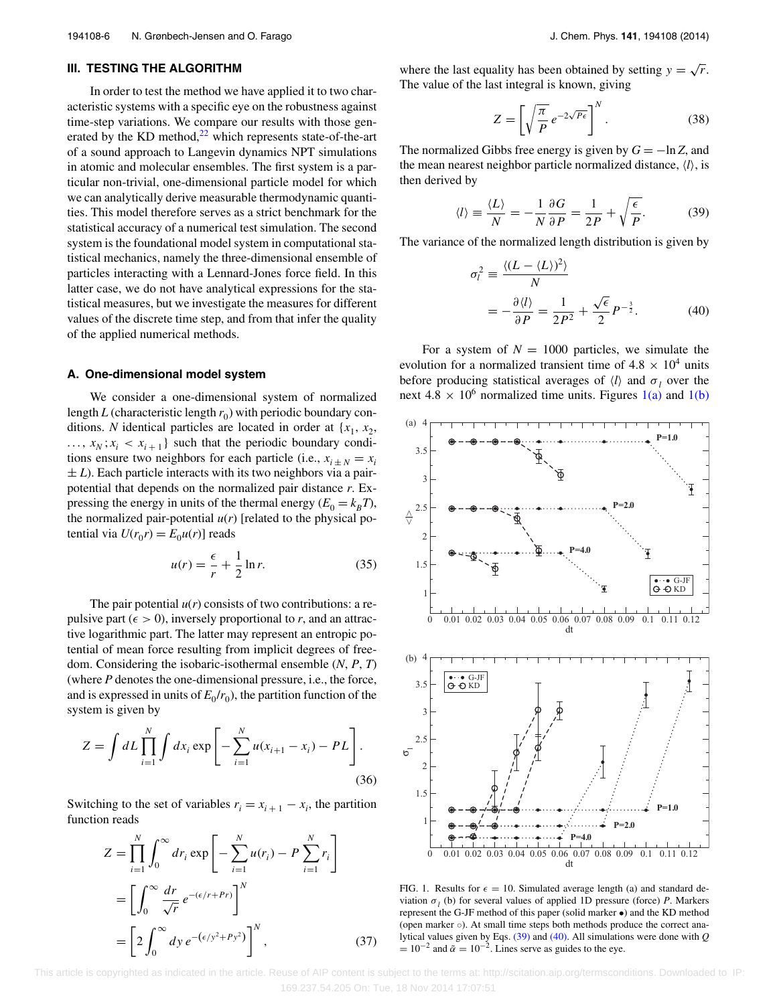## **III. TESTING THE ALGORITHM**

In order to test the method we have applied it to two characteristic systems with a specific eye on the robustness against time-step variations. We compare our results with those generated by the KD method, $^{22}$  which represents state-of-the-art of a sound approach to Langevin dynamics NPT simulations in atomic and molecular ensembles. The first system is a particular non-trivial, one-dimensional particle model for which we can analytically derive measurable thermodynamic quantities. This model therefore serves as a strict benchmark for the statistical accuracy of a numerical test simulation. The second system is the foundational model system in computational statistical mechanics, namely the three-dimensional ensemble of particles interacting with a Lennard-Jones force field. In this latter case, we do not have analytical expressions for the statistical measures, but we investigate the measures for different values of the discrete time step, and from that infer the quality of the applied numerical methods.

#### **A. One-dimensional model system**

We consider a one-dimensional system of normalized length *L* (characteristic length  $r_0$ ) with periodic boundary conditions. *N* identical particles are located in order at  $\{x_1, x_2,$  $..., x_N; x_i < x_{i+1}$  such that the periodic boundary conditions ensure two neighbors for each particle (i.e.,  $x_{i \pm N} = x_i$ )  $\pm L$ ). Each particle interacts with its two neighbors via a pairpotential that depends on the normalized pair distance *r*. Expressing the energy in units of the thermal energy  $(E_0 = k_B T)$ , the normalized pair-potential  $u(r)$  [related to the physical potential via  $U(r_0r) = E_0u(r)$ ] reads

$$
u(r) = \frac{\epsilon}{r} + \frac{1}{2}\ln r. \tag{35}
$$

The pair potential  $u(r)$  consists of two contributions: a repulsive part ( $\epsilon > 0$ ), inversely proportional to *r*, and an attractive logarithmic part. The latter may represent an entropic potential of mean force resulting from implicit degrees of freedom. Considering the isobaric-isothermal ensemble (*N*, *P*, *T*) (where *P* denotes the one-dimensional pressure, i.e., the force, and is expressed in units of  $E_0/r_0$ ), the partition function of the system is given by

$$
Z = \int dL \prod_{i=1}^{N} \int dx_i \exp \left[ - \sum_{i=1}^{N} u(x_{i+1} - x_i) - PL \right].
$$
\n(36)

Switching to the set of variables  $r_i = x_{i+1} - x_i$ , the partition function reads

$$
Z = \prod_{i=1}^{N} \int_0^{\infty} dr_i \exp\left[-\sum_{i=1}^{N} u(r_i) - P \sum_{i=1}^{N} r_i\right]
$$
  
= 
$$
\left[\int_0^{\infty} \frac{dr}{\sqrt{r}} e^{-(\epsilon/r + Pr)}\right]^{N}
$$
  
= 
$$
\left[2 \int_0^{\infty} dy e^{-(\epsilon/y^2 + Py^2)}\right]^{N},
$$
(37)

where the last equality has been obtained by setting  $y = \sqrt{r}$ . The value of the last integral is known, giving

$$
Z = \left[ \sqrt{\frac{\pi}{P}} e^{-2\sqrt{P\epsilon}} \right]^N.
$$
 (38)

The normalized Gibbs free energy is given by  $G = -\ln Z$ , and the mean nearest neighbor particle normalized distance,  $\langle l \rangle$ , is then derived by

$$
\langle l \rangle \equiv \frac{\langle L \rangle}{N} = -\frac{1}{N} \frac{\partial G}{\partial P} = \frac{1}{2P} + \sqrt{\frac{\epsilon}{P}}.
$$
 (39)

The variance of the normalized length distribution is given by

$$
\sigma_l^2 \equiv \frac{\langle (L - \langle L \rangle)^2 \rangle}{N}
$$
  
= 
$$
-\frac{\partial \langle l \rangle}{\partial P} = \frac{1}{2P^2} + \frac{\sqrt{\epsilon}}{2} P^{-\frac{3}{2}}.
$$
 (40)

For a system of  $N = 1000$  particles, we simulate the evolution for a normalized transient time of  $4.8 \times 10^4$  units before producing statistical averages of  $\langle l \rangle$  and  $\sigma_l$  over the next  $4.8 \times 10^6$  normalized time units. Figures  $1(a)$  and  $1(b)$ 



FIG. 1. Results for  $\epsilon = 10$ . Simulated average length (a) and standard deviation  $\sigma$ <sup>*l*</sup> (b) for several values of applied 1D pressure (force) *P*. Markers represent the G-JF method of this paper (solid marker •) and the KD method (open marker ◦). At small time steps both methods produce the correct analytical values given by Eqs. (39) and (40). All simulations were done with *Q*  $\alpha = 10^{-2}$  and  $\alpha = 10^{-2}$ . Lines serve as guides to the eye.

 This article is copyrighted as indicated in the article. Reuse of AIP content is subject to the terms at: http://scitation.aip.org/termsconditions. Downloaded to IP: 169.237.54.205 On: Tue, 18 Nov 2014 17:07:51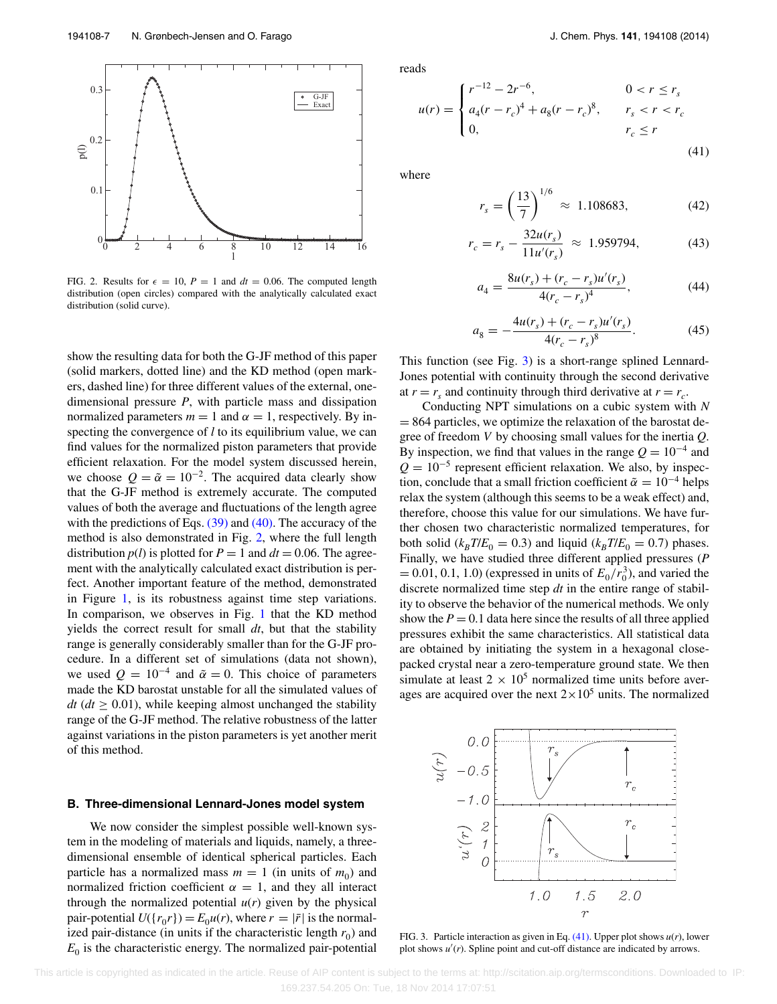

FIG. 2. Results for  $\epsilon = 10$ ,  $P = 1$  and  $dt = 0.06$ . The computed length distribution (open circles) compared with the analytically calculated exact distribution (solid curve).

show the resulting data for both the G-JF method of this paper (solid markers, dotted line) and the KD method (open markers, dashed line) for three different values of the external, onedimensional pressure *P*, with particle mass and dissipation normalized parameters  $m = 1$  and  $\alpha = 1$ , respectively. By inspecting the convergence of *l* to its equilibrium value, we can find values for the normalized piston parameters that provide efficient relaxation. For the model system discussed herein, we choose  $Q = \tilde{\alpha} = 10^{-2}$ . The acquired data clearly show that the G-JF method is extremely accurate. The computed values of both the average and fluctuations of the length agree with the predictions of Eqs. (39) and (40). The accuracy of the method is also demonstrated in Fig. 2, where the full length distribution  $p(l)$  is plotted for  $P = 1$  and  $dt = 0.06$ . The agreement with the analytically calculated exact distribution is perfect. Another important feature of the method, demonstrated in Figure 1, is its robustness against time step variations. In comparison, we observes in Fig. 1 that the KD method yields the correct result for small *dt*, but that the stability range is generally considerably smaller than for the G-JF procedure. In a different set of simulations (data not shown), we used  $Q = 10^{-4}$  and  $\tilde{\alpha} = 0$ . This choice of parameters made the KD barostat unstable for all the simulated values of  $dt$  ( $dt \ge 0.01$ ), while keeping almost unchanged the stability range of the G-JF method. The relative robustness of the latter against variations in the piston parameters is yet another merit of this method.

## **B. Three-dimensional Lennard-Jones model system**

We now consider the simplest possible well-known system in the modeling of materials and liquids, namely, a threedimensional ensemble of identical spherical particles. Each particle has a normalized mass  $m = 1$  (in units of  $m_0$ ) and normalized friction coefficient  $\alpha = 1$ , and they all interact through the normalized potential  $u(r)$  given by the physical pair-potential  $U({r_0}r) = E_0u(r)$ , where  $r = |\bar{r}|$  is the normalized pair-distance (in units if the characteristic length  $r_0$ ) and  $E_0$  is the characteristic energy. The normalized pair-potential reads

$$
u(r) = \begin{cases} r^{-12} - 2r^{-6}, & 0 < r \le r_s \\ a_4(r - r_c)^4 + a_8(r - r_c)^8, & r_s < r < r_c \\ 0, & r_c \le r \end{cases}
$$
(41)

where

$$
r_s = \left(\frac{13}{7}\right)^{1/6} \approx 1.108683,
$$
 (42)

$$
r_c = r_s - \frac{32u(r_s)}{11u'(r_s)} \approx 1.959794,
$$
 (43)

$$
a_4 = \frac{8u(r_s) + (r_c - r_s)u'(r_s)}{4(r_c - r_s)^4},
$$
\n(44)

$$
a_8 = -\frac{4u(r_s) + (r_c - r_s)u'(r_s)}{4(r_c - r_s)^8}.
$$
 (45)

This function (see Fig. 3) is a short-range splined Lennard-Jones potential with continuity through the second derivative at  $r = r_s$  and continuity through third derivative at  $r = r_c$ .

Conducting NPT simulations on a cubic system with *N*  $= 864$  particles, we optimize the relaxation of the barostat degree of freedom *V* by choosing small values for the inertia *Q*. By inspection, we find that values in the range  $Q = 10^{-4}$  and  $Q = 10^{-5}$  represent efficient relaxation. We also, by inspection, conclude that a small friction coefficient  $\tilde{\alpha} = 10^{-4}$  helps relax the system (although this seems to be a weak effect) and, therefore, choose this value for our simulations. We have further chosen two characteristic normalized temperatures, for both solid ( $k_B T/E_0 = 0.3$ ) and liquid ( $k_B T/E_0 = 0.7$ ) phases. Finally, we have studied three different applied pressures (*P*  $= 0.01, 0.1, 1.0$  (expressed in units of  $E_0/r_0^3$ ), and varied the discrete normalized time step *dt* in the entire range of stability to observe the behavior of the numerical methods. We only show the  $P = 0.1$  data here since the results of all three applied pressures exhibit the same characteristics. All statistical data are obtained by initiating the system in a hexagonal closepacked crystal near a zero-temperature ground state. We then simulate at least  $2 \times 10^5$  normalized time units before averages are acquired over the next  $2 \times 10^5$  units. The normalized



FIG. 3. Particle interaction as given in Eq. (41). Upper plot shows *u*(*r*), lower plot shows *u* (*r*). Spline point and cut-off distance are indicated by arrows.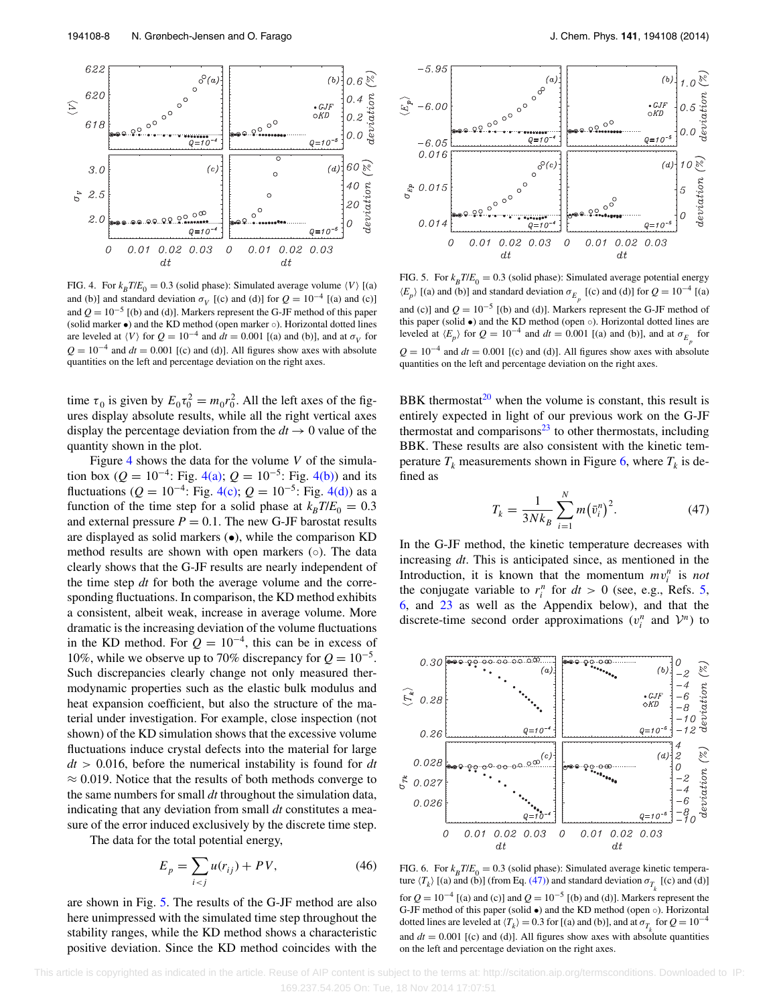

FIG. 4. For  $k_B T/E_0 = 0.3$  (solid phase): Simulated average volume  $\langle V \rangle$  [(a) and (b)] and standard deviation  $\sigma_V$  [(c) and (d)] for  $Q = 10^{-4}$  [(a) and (c)] and  $Q = 10^{-5}$  [(b) and (d)]. Markers represent the G-JF method of this paper (solid marker  $\bullet$ ) and the KD method (open marker  $\circ$ ). Horizontal dotted lines are leveled at  $\langle V \rangle$  for  $Q = 10^{-4}$  and  $dt = 0.001$  [(a) and (b)], and at  $\sigma_V$  for  $Q = 10^{-4}$  and  $dt = 0.001$  [(c) and (d)]. All figures show axes with absolute quantities on the left and percentage deviation on the right axes.

time  $\tau_0$  is given by  $E_0 \tau_0^2 = m_0 r_0^2$ . All the left axes of the figures display absolute results, while all the right vertical axes display the percentage deviation from the  $dt \rightarrow 0$  value of the quantity shown in the plot.

Figure 4 shows the data for the volume *V* of the simulation box ( $Q = 10^{-4}$ : Fig. 4(a);  $Q = 10^{-5}$ : Fig. 4(b)) and its fluctuations ( $Q = 10^{-4}$ : Fig. 4(c);  $Q = 10^{-5}$ : Fig. 4(d)) as a function of the time step for a solid phase at  $k_B T/E_0 = 0.3$ and external pressure  $P = 0.1$ . The new G-JF barostat results are displayed as solid markers (•), while the comparison KD method results are shown with open markers (⊙). The data clearly shows that the G-JF results are nearly independent of the time step *dt* for both the average volume and the corresponding fluctuations. In comparison, the KD method exhibits a consistent, albeit weak, increase in average volume. More dramatic is the increasing deviation of the volume fluctuations in the KD method. For  $Q = 10^{-4}$ , this can be in excess of 10%, while we observe up to 70% discrepancy for  $Q = 10^{-5}$ . Such discrepancies clearly change not only measured thermodynamic properties such as the elastic bulk modulus and heat expansion coefficient, but also the structure of the material under investigation. For example, close inspection (not shown) of the KD simulation shows that the excessive volume fluctuations induce crystal defects into the material for large *dt >* 0.016, before the numerical instability is found for *dt*  $\approx 0.019$ . Notice that the results of both methods converge to the same numbers for small *dt* throughout the simulation data, indicating that any deviation from small *dt* constitutes a measure of the error induced exclusively by the discrete time step.

The data for the total potential energy,

$$
E_p = \sum_{i < j} u(r_{ij}) + PV,\tag{46}
$$

are shown in Fig. 5. The results of the G-JF method are also here unimpressed with the simulated time step throughout the stability ranges, while the KD method shows a characteristic positive deviation. Since the KD method coincides with the



FIG. 5. For  $k_B T/E_0 = 0.3$  (solid phase): Simulated average potential energy  $\langle E_p \rangle$  [(a) and (b)] and standard deviation  $\sigma_{E_p}$  [(c) and (d)] for  $Q = 10^{-4}$  [(a) and (c)] and  $Q = 10^{-5}$  [(b) and (d)]. Markers represent the G-JF method of this paper (solid •) and the KD method (open ◦). Horizontal dotted lines are leveled at  $\langle E_p \rangle$  for  $Q = 10^{-4}$  and  $dt = 0.001$  [(a) and (b)], and at  $\sigma_{E_p}$  for  $Q = 10^{-4}$  and  $dt = 0.001$  [(c) and (d)]. All figures show axes with absolute quantities on the left and percentage deviation on the right axes.

BBK thermostat $20$  when the volume is constant, this result is entirely expected in light of our previous work on the G-JF thermostat and comparisons $^{23}$  to other thermostats, including BBK. These results are also consistent with the kinetic temperature  $T_k$  measurements shown in Figure 6, where  $T_k$  is defined as

$$
T_k = \frac{1}{3Nk_B} \sum_{i=1}^{N} m(\bar{v}_i^n)^2.
$$
 (47)

In the G-JF method, the kinetic temperature decreases with increasing *dt*. This is anticipated since, as mentioned in the Introduction, it is known that the momentum  $mv_i^n$  is *not* the conjugate variable to  $r_i^n$  for  $dt > 0$  (see, e.g., Refs. 5, 6, and 23 as well as the Appendix below), and that the discrete-time second order approximations  $(v_i^n \text{ and } \mathcal{V}^n)$  to



FIG. 6. For  $k_B T/E_0 = 0.3$  (solid phase): Simulated average kinetic temperature  $\langle T_k \rangle$  [(a) and (b)] (from Eq. (47)) and standard deviation  $\sigma_{T_k}$  [(c) and (d)] for  $Q = 10^{-4}$  [(a) and (c)] and  $Q = 10^{-5}$  [(b) and (d)]. Markers represent the G-JF method of this paper (solid •) and the KD method (open ◦). Horizontal dotted lines are leveled at  $\langle T_k \rangle = 0.3$  for [(a) and (b)], and at  $\sigma_{T_k}$  for  $Q = 10^{-4}$ and  $dt = 0.001$  [(c) and (d)]. All figures show axes with absolute quantities on the left and percentage deviation on the right axes.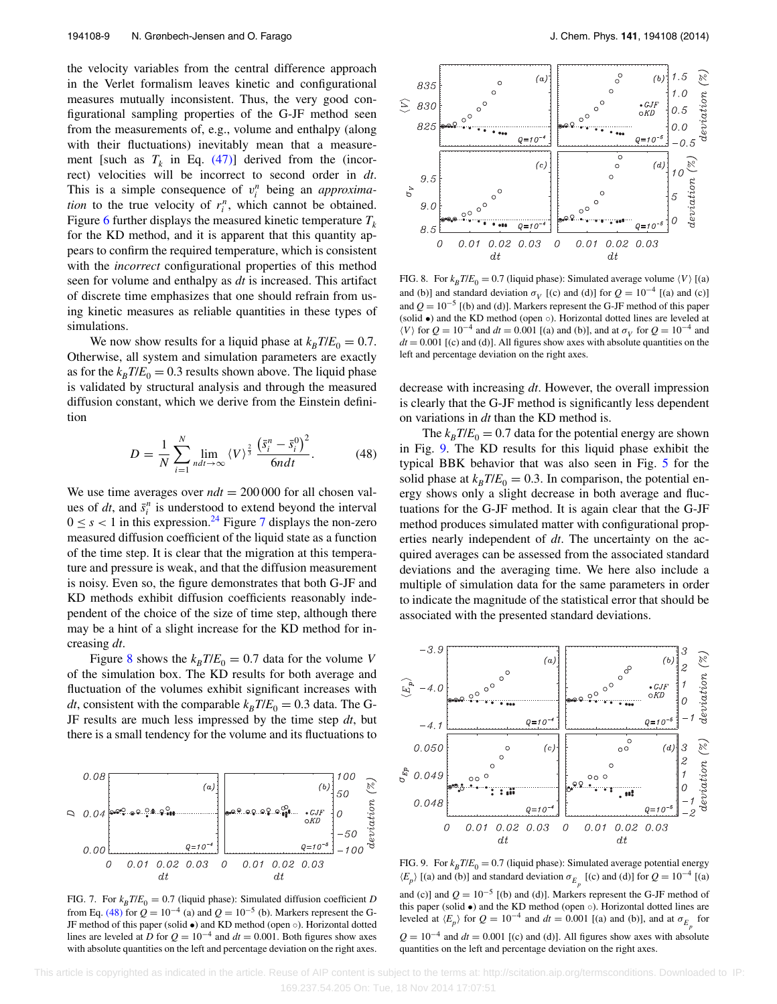the velocity variables from the central difference approach in the Verlet formalism leaves kinetic and configurational measures mutually inconsistent. Thus, the very good configurational sampling properties of the G-JF method seen from the measurements of, e.g., volume and enthalpy (along with their fluctuations) inevitably mean that a measurement [such as  $T_k$  in Eq. (47)] derived from the (incorrect) velocities will be incorrect to second order in *dt*. This is a simple consequence of  $v_i^n$  being an *approximation* to the true velocity of  $r_i^n$ , which cannot be obtained. Figure 6 further displays the measured kinetic temperature  $T_k$ for the KD method, and it is apparent that this quantity appears to confirm the required temperature, which is consistent with the *incorrect* configurational properties of this method seen for volume and enthalpy as *dt* is increased. This artifact of discrete time emphasizes that one should refrain from using kinetic measures as reliable quantities in these types of simulations.

We now show results for a liquid phase at  $k_B T/E_0 = 0.7$ . Otherwise, all system and simulation parameters are exactly as for the  $k_B T/E_0 = 0.3$  results shown above. The liquid phase is validated by structural analysis and through the measured diffusion constant, which we derive from the Einstein definition

$$
D = \frac{1}{N} \sum_{i=1}^{N} \lim_{ndt \to \infty} \left\langle V \right\rangle^{\frac{2}{3}} \frac{\left(\bar{s}_i^n - \bar{s}_i^0\right)^2}{6ndt}.
$$
 (48)

We use time averages over  $ndt = 200000$  for all chosen values of  $dt$ , and  $\bar{s}_i^n$  is understood to extend beyond the interval  $0 \leq s < 1$  in this expression.<sup>24</sup> Figure 7 displays the non-zero measured diffusion coefficient of the liquid state as a function of the time step. It is clear that the migration at this temperature and pressure is weak, and that the diffusion measurement is noisy. Even so, the figure demonstrates that both G-JF and KD methods exhibit diffusion coefficients reasonably independent of the choice of the size of time step, although there may be a hint of a slight increase for the KD method for increasing *dt*.

Figure 8 shows the  $k_B T/E_0 = 0.7$  data for the volume *V* of the simulation box. The KD results for both average and fluctuation of the volumes exhibit significant increases with *dt*, consistent with the comparable  $k_B T/E_0 = 0.3$  data. The G-JF results are much less impressed by the time step *dt*, but there is a small tendency for the volume and its fluctuations to



FIG. 7. For  $k_B T/E_0 = 0.7$  (liquid phase): Simulated diffusion coefficient *D* from Eq. (48) for  $Q = 10^{-4}$  (a) and  $Q = 10^{-5}$  (b). Markers represent the G-JF method of this paper (solid •) and KD method (open ◦). Horizontal dotted lines are leveled at *D* for  $Q = 10^{-4}$  and  $dt = 0.001$ . Both figures show axes with absolute quantities on the left and percentage deviation on the right axes.



FIG. 8. For  $k_B T/E_0 = 0.7$  (liquid phase): Simulated average volume  $\langle V \rangle$  [(a) and (b)] and standard deviation  $\sigma_V$  [(c) and (d)] for  $Q = 10^{-4}$  [(a) and (c)] and *Q* = 10−<sup>5</sup> [(b) and (d)]. Markers represent the G-JF method of this paper (solid  $\bullet$ ) and the KD method (open  $\circ$ ). Horizontal dotted lines are leveled at *V*) for *Q* = 10<sup>−4</sup> and *dt* = 0.001 [(a) and (b)], and at  $σ<sub>V</sub>$  for *Q* = 10<sup>−4</sup> and  $dt = 0.001$  [(c) and (d)]. All figures show axes with absolute quantities on the left and percentage deviation on the right axes.

decrease with increasing *dt*. However, the overall impression is clearly that the G-JF method is significantly less dependent on variations in *dt* than the KD method is.

The  $k_B T/E_0 = 0.7$  data for the potential energy are shown in Fig. 9. The KD results for this liquid phase exhibit the typical BBK behavior that was also seen in Fig. 5 for the solid phase at  $k_B T/E_0 = 0.3$ . In comparison, the potential energy shows only a slight decrease in both average and fluctuations for the G-JF method. It is again clear that the G-JF method produces simulated matter with configurational properties nearly independent of *dt*. The uncertainty on the acquired averages can be assessed from the associated standard deviations and the averaging time. We here also include a multiple of simulation data for the same parameters in order to indicate the magnitude of the statistical error that should be associated with the presented standard deviations.



FIG. 9. For  $k_B T/E_0 = 0.7$  (liquid phase): Simulated average potential energy  $\langle E_p \rangle$  [(a) and (b)] and standard deviation  $\sigma_{E_p}$  [(c) and (d)] for  $Q = 10^{-4}$  [(a) and (c)] and  $Q = 10^{-5}$  [(b) and (d)]. Markers represent the G-JF method of this paper (solid •) and the KD method (open ◦). Horizontal dotted lines are leveled at  $\langle E_p \rangle$  for  $Q = 10^{-4}$  and  $dt = 0.001$  [(a) and (b)], and at  $\sigma_{E_p}$  for  $Q = 10^{-4}$  and  $dt = 0.001$  [(c) and (d)]. All figures show axes with absolute quantities on the left and percentage deviation on the right axes.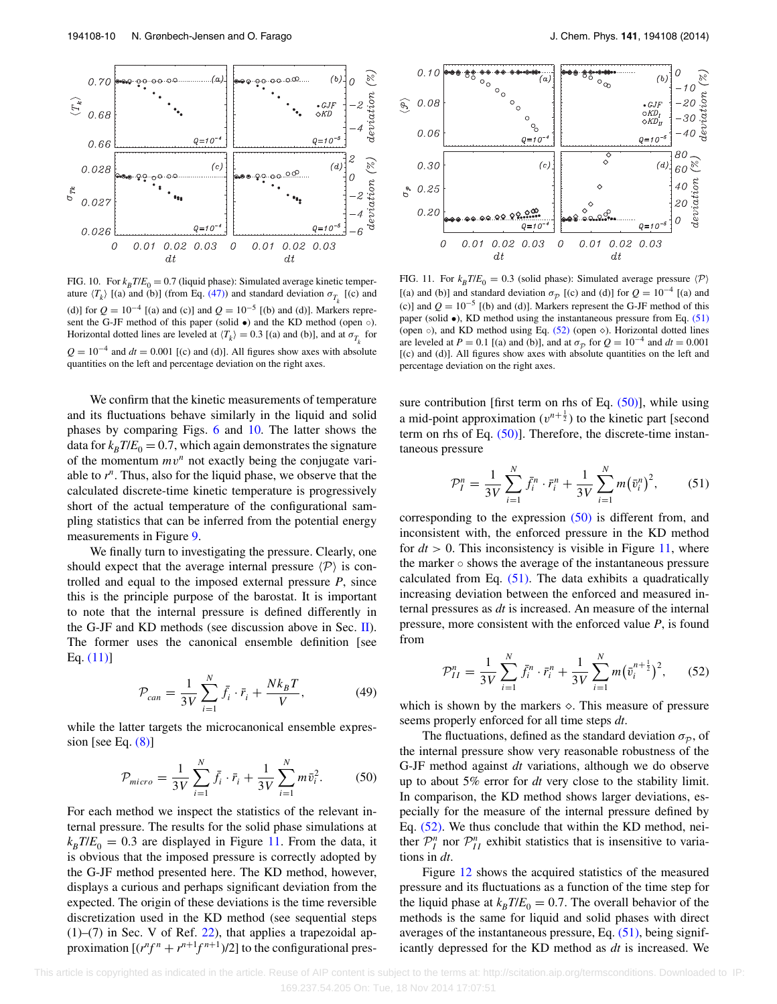

FIG. 10. For  $k_B T/E_0 = 0.7$  (liquid phase): Simulated average kinetic temperature  $\langle T_k \rangle$  [(a) and (b)] (from Eq. (47)) and standard deviation  $\sigma_{T_k}$  [(c) and (d)] for  $Q = 10^{-4}$  [(a) and (c)] and  $Q = 10^{-5}$  [(b) and (d)]. Markers represent the G-JF method of this paper (solid  $\bullet$ ) and the KD method (open  $\circ$ ). Horizontal dotted lines are leveled at  $\langle T_k \rangle = 0.3$  [(a) and (b)], and at  $\sigma_{T_k}$  for  $Q = 10^{-4}$  and  $dt = 0.001$  [(c) and (d)]. All figures show axes with absolute quantities on the left and percentage deviation on the right axes.

We confirm that the kinetic measurements of temperature and its fluctuations behave similarly in the liquid and solid phases by comparing Figs. 6 and 10. The latter shows the data for  $k_B T/E_0 = 0.7$ , which again demonstrates the signature of the momentum *mv<sup>n</sup>* not exactly being the conjugate variable to *r<sup>n</sup>*. Thus, also for the liquid phase, we observe that the calculated discrete-time kinetic temperature is progressively short of the actual temperature of the configurational sampling statistics that can be inferred from the potential energy measurements in Figure 9.

We finally turn to investigating the pressure. Clearly, one should expect that the average internal pressure  $\langle \mathcal{P} \rangle$  is controlled and equal to the imposed external pressure *P*, since this is the principle purpose of the barostat. It is important to note that the internal pressure is defined differently in the G-JF and KD methods (see discussion above in Sec. II). The former uses the canonical ensemble definition [see Eq. (11)]

$$
\mathcal{P}_{can} = \frac{1}{3V} \sum_{i=1}^{N} \bar{f}_i \cdot \bar{r}_i + \frac{N k_B T}{V},
$$
(49)

while the latter targets the microcanonical ensemble expression [see Eq.  $(8)$ ]

$$
\mathcal{P}_{micro} = \frac{1}{3V} \sum_{i=1}^{N} \bar{f}_i \cdot \bar{r}_i + \frac{1}{3V} \sum_{i=1}^{N} m \bar{v}_i^2.
$$
 (50)

For each method we inspect the statistics of the relevant internal pressure. The results for the solid phase simulations at  $k_B T/E_0 = 0.3$  are displayed in Figure 11. From the data, it is obvious that the imposed pressure is correctly adopted by the G-JF method presented here. The KD method, however, displays a curious and perhaps significant deviation from the expected. The origin of these deviations is the time reversible discretization used in the KD method (see sequential steps  $(1)$ – $(7)$  in Sec. V of Ref. 22), that applies a trapezoidal approximation  $[(r^n f^n + r^{n+1} f^{n+1})/2]$  to the configurational pres-



FIG. 11. For  $k_B T/E_0 = 0.3$  (solid phase): Simulated average pressure  $\langle P \rangle$ [(a) and (b)] and standard deviation  $\sigma_p$  [(c) and (d)] for  $Q = 10^{-4}$  [(a) and (c)] and  $Q = 10^{-5}$  [(b) and (d)]. Markers represent the G-JF method of this paper (solid  $\bullet$ ), KD method using the instantaneous pressure from Eq. (51) (open  $\circ$ ), and KD method using Eq. (52) (open  $\circ$ ). Horizontal dotted lines are leveled at  $P = 0.1$  [(a) and (b)], and at  $\sigma_p$  for  $Q = 10^{-4}$  and  $dt = 0.001$ [(c) and (d)]. All figures show axes with absolute quantities on the left and percentage deviation on the right axes.

sure contribution [first term on rhs of Eq.  $(50)$ ], while using a mid-point approximation  $(v^{n+\frac{1}{2}})$  to the kinetic part [second term on rhs of Eq.  $(50)$ ]. Therefore, the discrete-time instantaneous pressure

$$
\mathcal{P}_I^n = \frac{1}{3V} \sum_{i=1}^N \bar{f}_i^n \cdot \bar{r}_i^n + \frac{1}{3V} \sum_{i=1}^N m(\bar{v}_i^n)^2, \qquad (51)
$$

corresponding to the expression  $(50)$  is different from, and inconsistent with, the enforced pressure in the KD method for  $dt > 0$ . This inconsistency is visible in Figure 11, where the marker ◦ shows the average of the instantaneous pressure calculated from Eq.  $(51)$ . The data exhibits a quadratically increasing deviation between the enforced and measured internal pressures as *dt* is increased. An measure of the internal pressure, more consistent with the enforced value *P*, is found from

$$
\mathcal{P}_{II}^{n} = \frac{1}{3V} \sum_{i=1}^{N} \bar{f}_{i}^{n} \cdot \bar{r}_{i}^{n} + \frac{1}{3V} \sum_{i=1}^{N} m (\bar{v}_{i}^{n+\frac{1}{2}})^{2}, \qquad (52)
$$

which is shown by the markers  $\diamond$ . This measure of pressure seems properly enforced for all time steps *dt*.

The fluctuations, defined as the standard deviation  $\sigma_p$ , of the internal pressure show very reasonable robustness of the G-JF method against *dt* variations, although we do observe up to about 5% error for *dt* very close to the stability limit. In comparison, the KD method shows larger deviations, especially for the measure of the internal pressure defined by Eq. (52). We thus conclude that within the KD method, neither  $\mathcal{P}_I^n$  nor  $\mathcal{P}_{II}^n$  exhibit statistics that is insensitive to variations in *dt*.

Figure 12 shows the acquired statistics of the measured pressure and its fluctuations as a function of the time step for the liquid phase at  $k_B T/E_0 = 0.7$ . The overall behavior of the methods is the same for liquid and solid phases with direct averages of the instantaneous pressure, Eq. (51), being significantly depressed for the KD method as *dt* is increased. We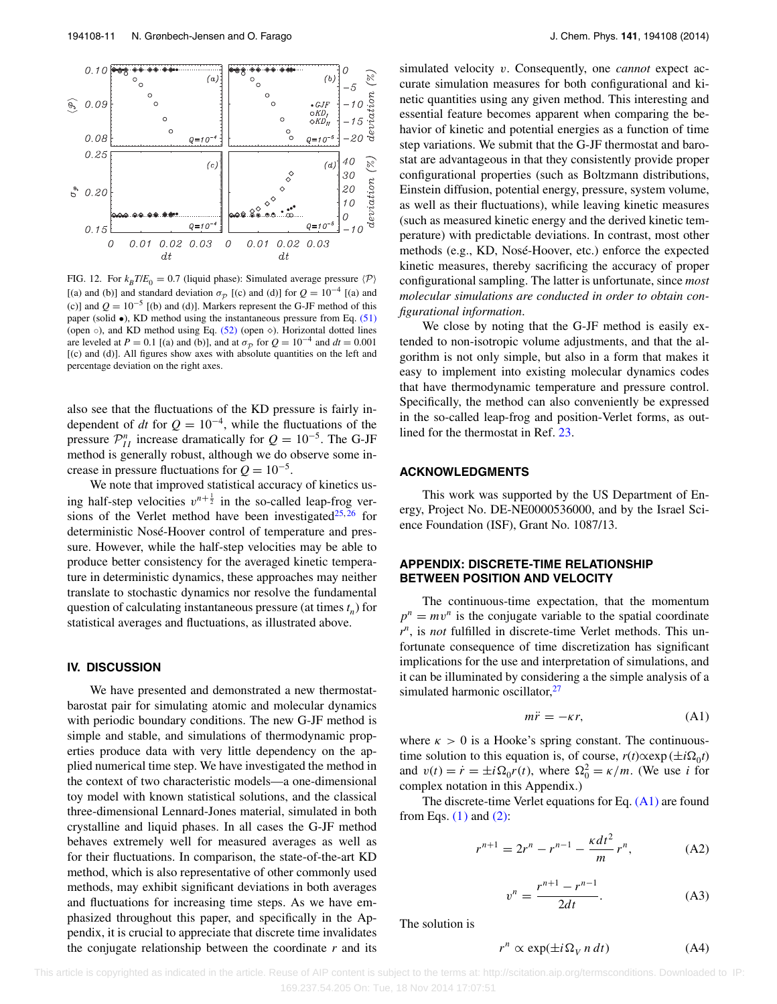

FIG. 12. For  $k_B T/E_0 = 0.7$  (liquid phase): Simulated average pressure  $\langle P \rangle$ [(a) and (b)] and standard deviation  $\sigma_p$  [(c) and (d)] for  $Q = 10^{-4}$  [(a) and (c)] and  $Q = 10^{-5}$  [(b) and (d)]. Markers represent the G-JF method of this paper (solid  $\bullet$ ), KD method using the instantaneous pressure from Eq. (51) (open  $\circ$ ), and KD method using Eq. (52) (open  $\circ$ ). Horizontal dotted lines are leveled at  $P = 0.1$  [(a) and (b)], and at  $\sigma_p$  for  $Q = 10^{-4}$  and  $dt = 0.001$ [(c) and (d)]. All figures show axes with absolute quantities on the left and percentage deviation on the right axes.

also see that the fluctuations of the KD pressure is fairly independent of *dt* for  $Q = 10^{-4}$ , while the fluctuations of the pressure  $\mathcal{P}_{II}^n$  increase dramatically for  $Q = 10^{-5}$ . The G-JF method is generally robust, although we do observe some increase in pressure fluctuations for  $Q = 10^{-5}$ .

We note that improved statistical accuracy of kinetics using half-step velocities  $v^{n+\frac{1}{2}}$  in the so-called leap-frog versions of the Verlet method have been investigated<sup>25,26</sup> for deterministic Nosé-Hoover control of temperature and pressure. However, while the half-step velocities may be able to produce better consistency for the averaged kinetic temperature in deterministic dynamics, these approaches may neither translate to stochastic dynamics nor resolve the fundamental question of calculating instantaneous pressure (at times  $t_n$ ) for statistical averages and fluctuations, as illustrated above.

#### **IV. DISCUSSION**

We have presented and demonstrated a new thermostatbarostat pair for simulating atomic and molecular dynamics with periodic boundary conditions. The new G-JF method is simple and stable, and simulations of thermodynamic properties produce data with very little dependency on the applied numerical time step. We have investigated the method in the context of two characteristic models—a one-dimensional toy model with known statistical solutions, and the classical three-dimensional Lennard-Jones material, simulated in both crystalline and liquid phases. In all cases the G-JF method behaves extremely well for measured averages as well as for their fluctuations. In comparison, the state-of-the-art KD method, which is also representative of other commonly used methods, may exhibit significant deviations in both averages and fluctuations for increasing time steps. As we have emphasized throughout this paper, and specifically in the Appendix, it is crucial to appreciate that discrete time invalidates the conjugate relationship between the coordinate *r* and its simulated velocity *v*. Consequently, one *cannot* expect accurate simulation measures for both configurational and kinetic quantities using any given method. This interesting and essential feature becomes apparent when comparing the behavior of kinetic and potential energies as a function of time step variations. We submit that the G-JF thermostat and barostat are advantageous in that they consistently provide proper configurational properties (such as Boltzmann distributions, Einstein diffusion, potential energy, pressure, system volume, as well as their fluctuations), while leaving kinetic measures (such as measured kinetic energy and the derived kinetic temperature) with predictable deviations. In contrast, most other methods (e.g., KD, Nosé-Hoover, etc.) enforce the expected kinetic measures, thereby sacrificing the accuracy of proper configurational sampling. The latter is unfortunate, since *most molecular simulations are conducted in order to obtain configurational information*.

We close by noting that the G-JF method is easily extended to non-isotropic volume adjustments, and that the algorithm is not only simple, but also in a form that makes it easy to implement into existing molecular dynamics codes that have thermodynamic temperature and pressure control. Specifically, the method can also conveniently be expressed in the so-called leap-frog and position-Verlet forms, as outlined for the thermostat in Ref. 23.

#### **ACKNOWLEDGMENTS**

This work was supported by the US Department of Energy, Project No. DE-NE0000536000, and by the Israel Science Foundation (ISF), Grant No. 1087/13.

## **APPENDIX: DISCRETE-TIME RELATIONSHIP BETWEEN POSITION AND VELOCITY**

The continuous-time expectation, that the momentum  $p^n = mv^n$  is the conjugate variable to the spatial coordinate *r<sup>n</sup>*, is *not* fulfilled in discrete-time Verlet methods. This unfortunate consequence of time discretization has significant implications for the use and interpretation of simulations, and it can be illuminated by considering a the simple analysis of a simulated harmonic oscillator, $27$ 

$$
m\ddot{r} = -\kappa r,\tag{A1}
$$

where  $\kappa > 0$  is a Hooke's spring constant. The continuoustime solution to this equation is, of course,  $r(t) \propto \exp(\pm i \Omega_0 t)$ and  $v(t) = \dot{r} = \pm i \Omega_0 r(t)$ , where  $\Omega_0^2 = \kappa/m$ . (We use *i* for complex notation in this Appendix.)

The discrete-time Verlet equations for Eq. (A1) are found from Eqs.  $(1)$  and  $(2)$ :

$$
r^{n+1} = 2r^n - r^{n-1} - \frac{\kappa dt^2}{m} r^n, \tag{A2}
$$

$$
v^n = \frac{r^{n+1} - r^{n-1}}{2dt}.
$$
 (A3)

The solution is

$$
r^n \propto \exp(\pm i\Omega_V n \, dt) \tag{A4}
$$